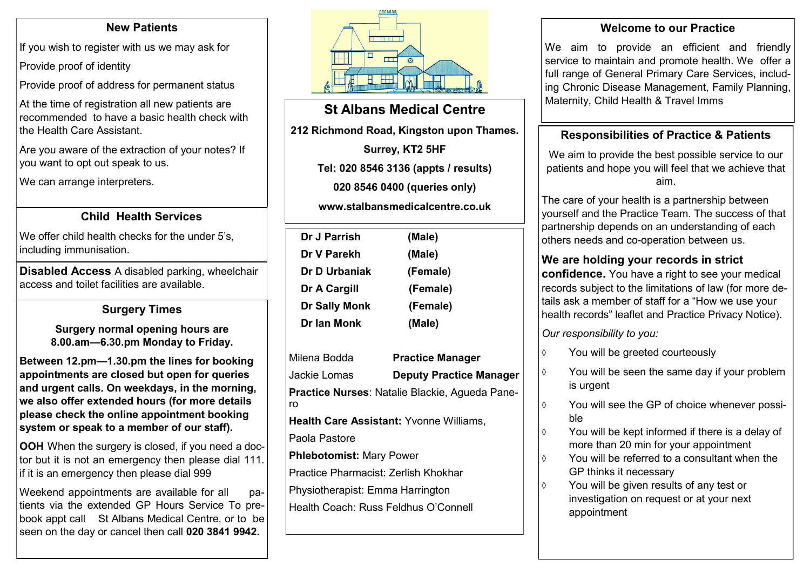#### **New Patients**

If you wish to register with us we may ask for

Provide proof of identity

Provide proof of address for permanent status

At the time of registration all new patients are recommended to have a basic health check with the Health Care Assistant.

Are you aware of the extraction of your notes? If you want to opt out speak to us.

We can arrange interpreters.

## **Child Health Services**

We offer child health checks for the under 5's, including immunisation.

**Disabled Access** A disabled parking, wheelchair access and toilet facilities are available.

## **Surgery Times**

**Surgery normal opening hours are 8.00.am—6.30.pm Monday to Friday.** 

**Between 12.pm—1.30.pm the lines for booking appointments are closed but open for queries and urgent calls. On weekdays, in the morning, we also offer extended hours (for more details please check the online appointment booking system or speak to a member of our staff).**

**OOH** When the surgery is closed, if you need a doctor but it is not an emergency then please dial 111. if it is an emergency then please dial 999

Weekend appointments are available for all patients via the extended GP Hours Service To prebook appt call St Albans Medical Centre, or to be seen on the day or cancel then call **020 3841 9942.** 



# **St Albans Medical Centre**

**212 Richmond Road, Kingston upon Thames.**

**Surrey, KT2 5HF**

**Tel: 020 8546 3136 (appts / results)** 

**020 8546 0400 (queries only)**

**www.stalbansmedicalcentre.co.uk**

| Dr J Parrish         | (Male)   |  |
|----------------------|----------|--|
| Dr V Parekh          | (Male)   |  |
| Dr D Urbaniak        | (Female) |  |
| Dr A Cargill         | (Female) |  |
| <b>Dr Sally Monk</b> | (Female) |  |
| Dr Ian Monk          | (Male)   |  |
|                      |          |  |

Milena Bodda **Practice Manager** Jackie Lomas **Deputy Practice Manager Practice Nurses**: Natalie Blackie, Agueda Panero

**Health Care Assistant:** Yvonne Williams, Paola Pastore

**Phlebotomist:** Mary Power

Practice Pharmacist: Zerlish Khokhar

Physiotherapist: Emma Harrington

Health Coach: Russ Feldhus O'Connell

#### **Welcome to our Practice**

We aim to provide an efficient and friendly service to maintain and promote health. We offer a full range of General Primary Care Services, including Chronic Disease Management, Family Planning, Maternity, Child Health & Travel Imms

## **Responsibilities of Practice & Patients**

We aim to provide the best possible service to our patients and hope you will feel that we achieve that aim.

The care of your health is a partnership between yourself and the Practice Team. The success of that partnership depends on an understanding of each others needs and co-operation between us.

## **We are holding your records in strict**

**confidence.** You have a right to see your medical records subject to the limitations of law (for more details ask a member of staff for a "How we use your health records" leaflet and Practice Privacy Notice).

*Our responsibility to you:*

- You will be greeted courteously
- $\Diamond$  You will be seen the same day if your problem is urgent
- $\Diamond$  You will see the GP of choice whenever possible
- $\Diamond$  You will be kept informed if there is a delay of more than 20 min for your appointment
- $\Diamond$  You will be referred to a consultant when the GP thinks it necessary
- You will be given results of any test or investigation on request or at your next appointment